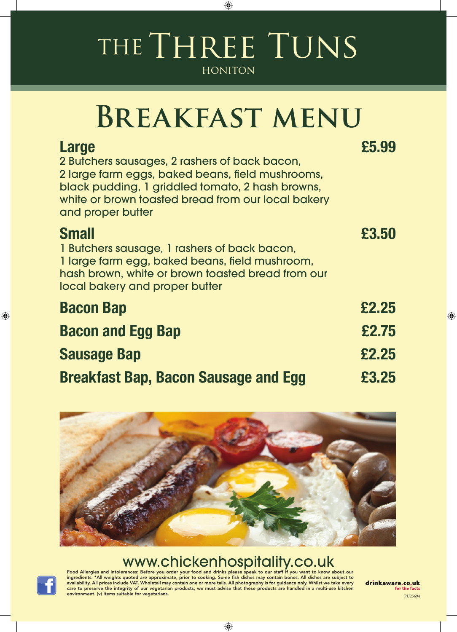#### THE THREE TUNS **HONITON**

 $\bigoplus$ 

## **BREAKFAST MENU**

| <b>Large</b>                                                                                           | £5.99 |
|--------------------------------------------------------------------------------------------------------|-------|
| 2 Butchers sausages, 2 rashers of back bacon,                                                          |       |
| 2 large farm eggs, baked beans, field mushrooms,                                                       |       |
| black pudding, 1 griddled tomato, 2 hash browns,<br>white or brown toasted bread from our local bakery |       |
| and proper butter                                                                                      |       |
|                                                                                                        |       |
| <b>Small</b>                                                                                           | £3.50 |
| 1 Butchers sausage, 1 rashers of back bacon,<br>1 large farm egg, baked beans, field mushroom,         |       |
| hash brown, white or brown toasted bread from our                                                      |       |
| local bakery and proper butter                                                                         |       |
| <b>Bacon Bap</b>                                                                                       | £2,25 |
|                                                                                                        |       |
| <b>Bacon and Egg Bap</b>                                                                               | £2.75 |
| <b>Sausage Bap</b>                                                                                     | £2,25 |
| <b>Breakfast Bap, Bacon Sausage and Egg</b>                                                            | £3.25 |
|                                                                                                        |       |



#### www.chickenhospitality.co.uk<br>Food Allergies and Intolerances: Before you order your food and drinks please speak to our staff if you want to know about our

ingredients. \*All weights quoted are approximate, prior to cooking. Some fish dishes may contain bones. All dishes are subject to availability. All prices include VAT. Wholetail may contain one or more tails. All photography is for guidance only. Whilst we take every<br>care to preserve the integrity of our vegetarian products, we must advise that these environment. (v) Items suitable for vegetarians.

drinkaware.co.uk for the facts PU25694 ⊕



⊕

 $\bigoplus$